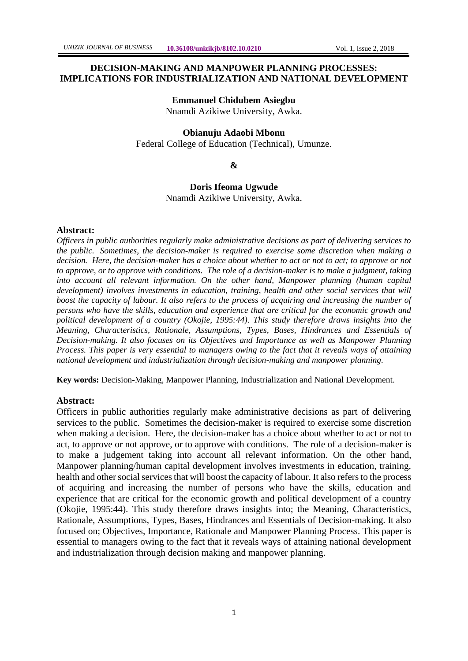# **DECISION-MAKING AND MANPOWER PLANNING PROCESSES:**

**IMPLICATIONS FOR INDUSTRIALIZATION AND NATIONAL DEVELOPMENT**

### **Emmanuel Chidubem Asiegbu**

Nnamdi Azikiwe University, Awka.

#### **Obianuju Adaobi Mbonu**

Federal College of Education (Technical), Umunze.

**&**

**Doris Ifeoma Ugwude** Nnamdi Azikiwe University, Awka.

#### **Abstract:**

*Officers in public authorities regularly make administrative decisions as part of delivering services to the public. Sometimes, the decision-maker is required to exercise some discretion when making a decision. Here, the decision-maker has a choice about whether to act or not to act; to approve or not to approve, or to approve with conditions. The role of a decision-maker is to make a judgment, taking into account all relevant information. On the other hand, Manpower planning (human capital development) involves investments in education, training, health and other social services that will boost the capacity of labour. It also refers to the process of acquiring and increasing the number of persons who have the skills, education and experience that are critical for the economic growth and political development of a country (Okojie, 1995:44). This study therefore draws insights into the Meaning, Characteristics, Rationale, Assumptions, Types, Bases, Hindrances and Essentials of Decision-making. It also focuses on its Objectives and Importance as well as Manpower Planning Process. This paper is very essential to managers owing to the fact that it reveals ways of attaining national development and industrialization through decision-making and manpower planning.*

**Key words:** Decision-Making, Manpower Planning, Industrialization and National Development.

#### **Abstract:**

Officers in public authorities regularly make administrative decisions as part of delivering services to the public. Sometimes the decision-maker is required to exercise some discretion when making a decision. Here, the decision-maker has a choice about whether to act or not to act, to approve or not approve, or to approve with conditions. The role of a decision-maker is to make a judgement taking into account all relevant information. On the other hand, Manpower planning/human capital development involves investments in education, training, health and other social services that will boost the capacity of labour. It also refers to the process of acquiring and increasing the number of persons who have the skills, education and experience that are critical for the economic growth and political development of a country (Okojie, 1995:44). This study therefore draws insights into; the Meaning, Characteristics, Rationale, Assumptions, Types, Bases, Hindrances and Essentials of Decision-making. It also focused on; Objectives, Importance, Rationale and Manpower Planning Process. This paper is essential to managers owing to the fact that it reveals ways of attaining national development and industrialization through decision making and manpower planning.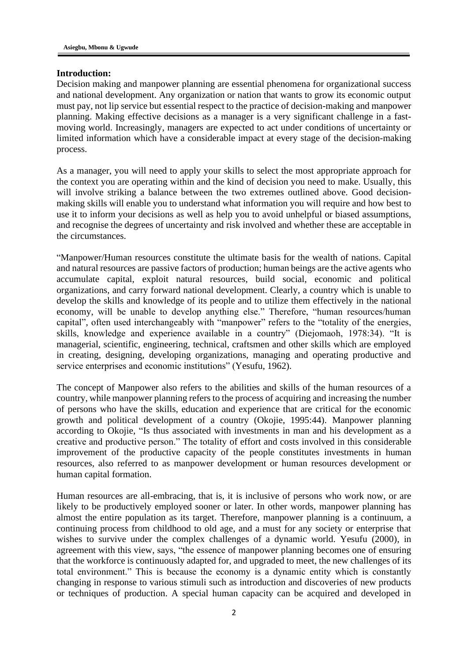#### **Introduction:**

Decision making and manpower planning are essential phenomena for organizational success and national development. Any organization or nation that wants to grow its economic output must pay, not lip service but essential respect to the practice of decision-making and manpower planning. Making effective decisions as a manager is a very significant challenge in a fastmoving world. Increasingly, managers are expected to act under conditions of uncertainty or limited information which have a considerable impact at every stage of the decision-making process.

As a manager, you will need to apply your skills to select the most appropriate approach for the context you are operating within and the kind of decision you need to make. Usually, this will involve striking a balance between the two extremes outlined above. Good decisionmaking skills will enable you to understand what information you will require and how best to use it to inform your decisions as well as help you to avoid unhelpful or biased assumptions, and recognise the degrees of uncertainty and risk involved and whether these are acceptable in the circumstances.

"Manpower/Human resources constitute the ultimate basis for the wealth of nations. Capital and natural resources are passive factors of production; human beings are the active agents who accumulate capital, exploit natural resources, build social, economic and political organizations, and carry forward national development. Clearly, a country which is unable to develop the skills and knowledge of its people and to utilize them effectively in the national economy, will be unable to develop anything else." Therefore, "human resources/human capital", often used interchangeably with "manpower" refers to the "totality of the energies, skills, knowledge and experience available in a country" (Diejomaoh, 1978:34). "It is managerial, scientific, engineering, technical, craftsmen and other skills which are employed in creating, designing, developing organizations, managing and operating productive and service enterprises and economic institutions" (Yesufu, 1962).

The concept of Manpower also refers to the abilities and skills of the human resources of a country, while manpower planning refers to the process of acquiring and increasing the number of persons who have the skills, education and experience that are critical for the economic growth and political development of a country (Okojie, 1995:44). Manpower planning according to Okojie, "Is thus associated with investments in man and his development as a creative and productive person." The totality of effort and costs involved in this considerable improvement of the productive capacity of the people constitutes investments in human resources, also referred to as manpower development or human resources development or human capital formation.

Human resources are all-embracing, that is, it is inclusive of persons who work now, or are likely to be productively employed sooner or later. In other words, manpower planning has almost the entire population as its target. Therefore, manpower planning is a continuum, a continuing process from childhood to old age, and a must for any society or enterprise that wishes to survive under the complex challenges of a dynamic world. Yesufu (2000), in agreement with this view, says, "the essence of manpower planning becomes one of ensuring that the workforce is continuously adapted for, and upgraded to meet, the new challenges of its total environment." This is because the economy is a dynamic entity which is constantly changing in response to various stimuli such as introduction and discoveries of new products or techniques of production. A special human capacity can be acquired and developed in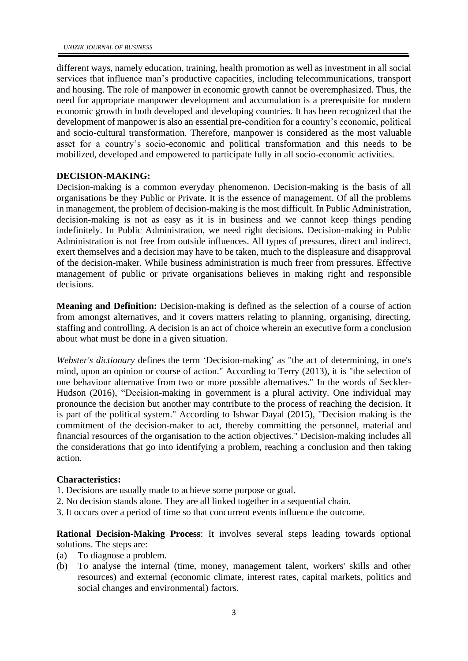different ways, namely education, training, health promotion as well as investment in all social services that influence man's productive capacities, including telecommunications, transport and housing. The role of manpower in economic growth cannot be overemphasized. Thus, the need for appropriate manpower development and accumulation is a prerequisite for modern economic growth in both developed and developing countries. It has been recognized that the development of manpower is also an essential pre-condition for a country's economic, political and socio-cultural transformation. Therefore, manpower is considered as the most valuable asset for a country's socio-economic and political transformation and this needs to be mobilized, developed and empowered to participate fully in all socio-economic activities.

#### **DECISION-MAKING:**

Decision-making is a common everyday phenomenon. Decision-making is the basis of all organisations be they Public or Private. It is the essence of management. Of all the problems in management, the problem of decision-making is the most difficult. In Public Administration, decision-making is not as easy as it is in business and we cannot keep things pending indefinitely. In Public Administration, we need right decisions. Decision-making in Public Administration is not free from outside influences. All types of pressures, direct and indirect, exert themselves and a decision may have to be taken, much to the displeasure and disapproval of the decision-maker. While business administration is much freer from pressures. Effective management of public or private organisations believes in making right and responsible decisions.

**Meaning and Definition:** Decision-making is defined as the selection of a course of action from amongst alternatives, and it covers matters relating to planning, organising, directing, staffing and controlling. A decision is an act of choice wherein an executive form a conclusion about what must be done in a given situation.

*Webster's dictionary* defines the term 'Decision-making' as "the act of determining, in one's mind, upon an opinion or course of action." According to Terry (2013), it is "the selection of one behaviour alternative from two or more possible alternatives." In the words of Seckler-Hudson (2016), "Decision-making in government is a plural activity. One individual may pronounce the decision but another may contribute to the process of reaching the decision. It is part of the political system." According to Ishwar Dayal (2015), "Decision making is the commitment of the decision-maker to act, thereby committing the personnel, material and financial resources of the organisation to the action objectives." Decision-making includes all the considerations that go into identifying a problem, reaching a conclusion and then taking action.

#### **Characteristics:**

- 1. Decisions are usually made to achieve some purpose or goal.
- 2. No decision stands alone. They are all linked together in a sequential chain.
- 3. It occurs over a period of time so that concurrent events influence the outcome.

**Rational Decision-Making Process**: It involves several steps leading towards optional solutions. The steps are:

- (a) To diagnose a problem.
- (b) To analyse the internal (time, money, management talent, workers' skills and other resources) and external (economic climate, interest rates, capital markets, politics and social changes and environmental) factors.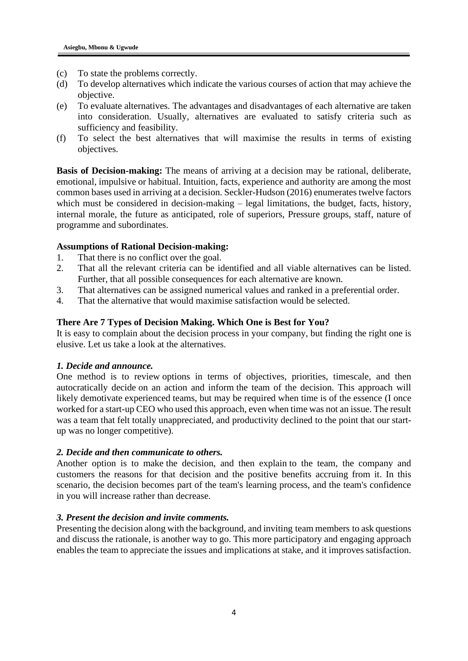- (c) To state the problems correctly.
- (d) To develop alternatives which indicate the various courses of action that may achieve the objective.
- (e) To evaluate alternatives. The advantages and disadvantages of each alternative are taken into consideration. Usually, alternatives are evaluated to satisfy criteria such as sufficiency and feasibility.
- (f) To select the best alternatives that will maximise the results in terms of existing objectives.

**Basis of Decision-making:** The means of arriving at a decision may be rational, deliberate, emotional, impulsive or habitual. Intuition, facts, experience and authority are among the most common bases used in arriving at a decision. Seckler-Hudson (2016) enumerates twelve factors which must be considered in decision-making – legal limitations, the budget, facts, history, internal morale, the future as anticipated, role of superiors, Pressure groups, staff, nature of programme and subordinates.

### **Assumptions of Rational Decision-making:**

- 1. That there is no conflict over the goal.
- 2. That all the relevant criteria can be identified and all viable alternatives can be listed. Further, that all possible consequences for each alternative are known.
- 3. That alternatives can be assigned numerical values and ranked in a preferential order.
- 4. That the alternative that would maximise satisfaction would be selected.

### **There Are 7 Types of Decision Making. Which One is Best for You?**

It is easy to complain about the decision process in your company, but finding the right one is elusive. Let us take a look at the alternatives.

### *1. Decide and announce.*

One method is to review options in terms of objectives, priorities, timescale, and then autocratically decide on an action and inform the team of the decision. This approach will likely demotivate experienced teams, but may be required when time is of the essence (I once worked for a start-up CEO who used this approach, even when time was not an issue. The result was a team that felt totally unappreciated, and productivity declined to the point that our startup was no longer competitive).

#### *2. Decide and then communicate to others.*

Another option is to make the decision, and then explain to the team, the company and customers the reasons for that decision and the positive benefits accruing from it. In this scenario, the decision becomes part of the team's learning process, and the team's confidence in you will increase rather than decrease.

#### *3. Present the decision and invite comments.*

Presenting the decision along with the background, and inviting team members to ask questions and discuss the rationale, is another way to go. This more participatory and engaging approach enables the team to appreciate the issues and implications at stake, and it improves satisfaction.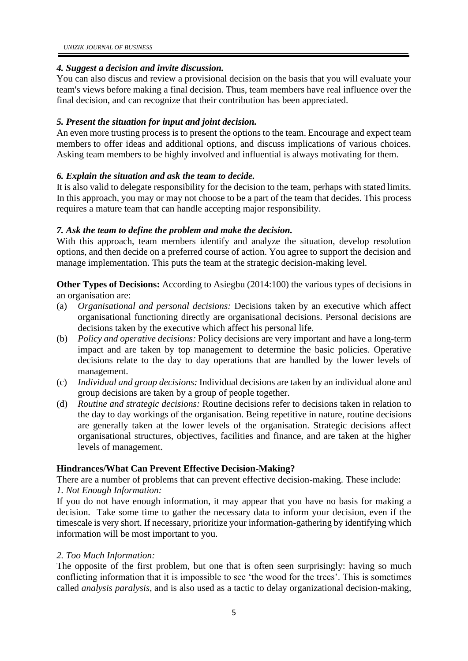# *4. Suggest a decision and invite discussion.*

You can also discus and review a provisional decision on the basis that you will evaluate your team's views before making a final decision. Thus, team members have real influence over the final decision, and can recognize that their contribution has been appreciated.

# *5. Present the situation for input and joint decision.*

An even more trusting process is to present the options to the team. Encourage and expect team members to offer ideas and additional options, and discuss implications of various choices. Asking team members to be highly involved and influential is always motivating for them.

# *6. Explain the situation and ask the team to decide.*

It is also valid to delegate responsibility for the decision to the team, perhaps with stated limits. In this approach, you may or may not choose to be a part of the team that decides. This process requires a mature team that can handle accepting major responsibility.

# *7. Ask the team to define the problem and make the decision.*

With this approach, team members identify and analyze the situation, develop resolution options, and then decide on a preferred course of action. You agree to support the decision and manage implementation. This puts the team at the strategic decision-making level.

**Other Types of Decisions:** According to Asiegbu (2014:100) the various types of decisions in an organisation are:

- (a) *Organisational and personal decisions:* Decisions taken by an executive which affect organisational functioning directly are organisational decisions. Personal decisions are decisions taken by the executive which affect his personal life.
- (b) *Policy and operative decisions:* Policy decisions are very important and have a long-term impact and are taken by top management to determine the basic policies. Operative decisions relate to the day to day operations that are handled by the lower levels of management.
- (c) *Individual and group decisions:* Individual decisions are taken by an individual alone and group decisions are taken by a group of people together.
- (d) *Routine and strategic decisions:* Routine decisions refer to decisions taken in relation to the day to day workings of the organisation. Being repetitive in nature, routine decisions are generally taken at the lower levels of the organisation. Strategic decisions affect organisational structures, objectives, facilities and finance, and are taken at the higher levels of management.

# **Hindrances/What Can Prevent Effective Decision-Making?**

There are a number of problems that can prevent effective decision-making. These include: *1. Not Enough Information:*

If you do not have enough information, it may appear that you have no basis for making a decision. Take some time to gather the necessary data to inform your decision, even if the timescale is very short. If necessary, prioritize your information-gathering by identifying which information will be most important to you.

# *2. Too Much Information:*

The opposite of the first problem, but one that is often seen surprisingly: having so much conflicting information that it is impossible to see 'the wood for the trees'. This is sometimes called *analysis paralysis*, and is also used as a tactic to delay organizational decision-making,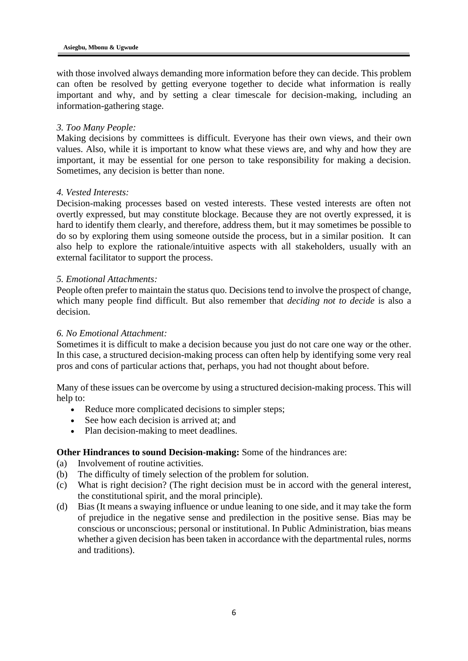with those involved always demanding more information before they can decide. This problem can often be resolved by getting everyone together to decide what information is really important and why, and by setting a clear timescale for decision-making, including an information-gathering stage.

# *3. Too Many People:*

Making decisions by committees is difficult. Everyone has their own views, and their own values. Also, while it is important to know what these views are, and why and how they are important, it may be essential for one person to take responsibility for making a decision. Sometimes, any decision is better than none.

# *4. Vested Interests:*

Decision-making processes based on vested interests. These vested interests are often not overtly expressed, but may constitute blockage. Because they are not overtly expressed, it is hard to identify them clearly, and therefore, address them, but it may sometimes be possible to do so by exploring them using someone outside the process, but in a similar position. It can also help to explore the rationale/intuitive aspects with all stakeholders, usually with an external facilitator to support the process.

# *5. Emotional Attachments:*

People often prefer to maintain the status quo. Decisions tend to involve the prospect of change, which many people find difficult. But also remember that *deciding not to decide* is also a decision.

### *6. No Emotional Attachment:*

Sometimes it is difficult to make a decision because you just do not care one way or the other. In this case, a structured decision-making process can often help by identifying some very real pros and cons of particular actions that, perhaps, you had not thought about before.

Many of these issues can be overcome by using a structured decision-making process. This will help to:

- Reduce more complicated decisions to simpler steps;
- See how each decision is arrived at; and
- Plan decision-making to meet deadlines.

# **Other Hindrances to sound Decision-making:** Some of the hindrances are:

- (a) Involvement of routine activities.
- (b) The difficulty of timely selection of the problem for solution.
- (c) What is right decision? (The right decision must be in accord with the general interest, the constitutional spirit, and the moral principle).
- (d) Bias (It means a swaying influence or undue leaning to one side, and it may take the form of prejudice in the negative sense and predilection in the positive sense. Bias may be conscious or unconscious; personal or institutional. In Public Administration, bias means whether a given decision has been taken in accordance with the departmental rules, norms and traditions).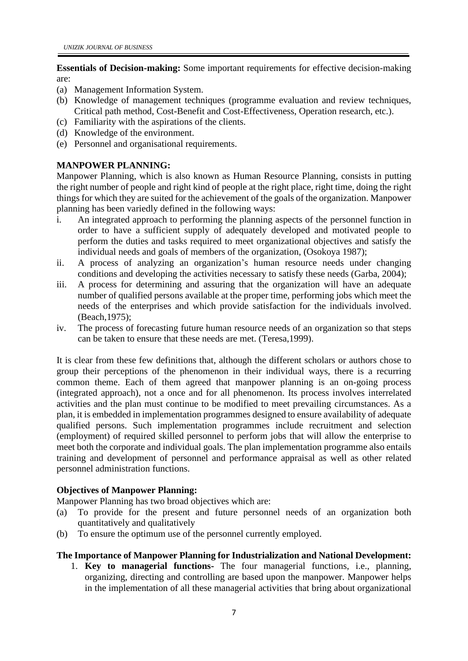**Essentials of Decision-making:** Some important requirements for effective decision-making are:

- (a) Management Information System.
- (b) Knowledge of management techniques (programme evaluation and review techniques, Critical path method, Cost-Benefit and Cost-Effectiveness, Operation research, etc.).
- (c) Familiarity with the aspirations of the clients.
- (d) Knowledge of the environment.
- (e) Personnel and organisational requirements.

# **MANPOWER PLANNING:**

Manpower Planning, which is also known as Human Resource Planning, consists in putting the right number of people and right kind of people at the right place, right time, doing the right things for which they are suited for the achievement of the goals of the organization. Manpower planning has been variedly defined in the following ways:

- i. An integrated approach to performing the planning aspects of the personnel function in order to have a sufficient supply of adequately developed and motivated people to perform the duties and tasks required to meet organizational objectives and satisfy the individual needs and goals of members of the organization, (Osokoya 1987);
- ii. A process of analyzing an organization's human resource needs under changing conditions and developing the activities necessary to satisfy these needs (Garba, 2004);
- iii. A process for determining and assuring that the organization will have an adequate number of qualified persons available at the proper time, performing jobs which meet the needs of the enterprises and which provide satisfaction for the individuals involved. (Beach,1975);
- iv. The process of forecasting future human resource needs of an organization so that steps can be taken to ensure that these needs are met. (Teresa,1999).

It is clear from these few definitions that, although the different scholars or authors chose to group their perceptions of the phenomenon in their individual ways, there is a recurring common theme. Each of them agreed that manpower planning is an on-going process (integrated approach), not a once and for all phenomenon. Its process involves interrelated activities and the plan must continue to be modified to meet prevailing circumstances. As a plan, it is embedded in implementation programmes designed to ensure availability of adequate qualified persons. Such implementation programmes include recruitment and selection (employment) of required skilled personnel to perform jobs that will allow the enterprise to meet both the corporate and individual goals. The plan implementation programme also entails training and development of personnel and performance appraisal as well as other related personnel administration functions.

# **Objectives of Manpower Planning:**

Manpower Planning has two broad objectives which are:

- (a) To provide for the present and future personnel needs of an organization both quantitatively and qualitatively
- (b) To ensure the optimum use of the personnel currently employed.

# **The Importance of Manpower Planning for Industrialization and National Development:**

1. **Key to managerial functions-** The four managerial functions, i.e., planning, organizing, directing and controlling are based upon the manpower. Manpower helps in the implementation of all these managerial activities that bring about organizational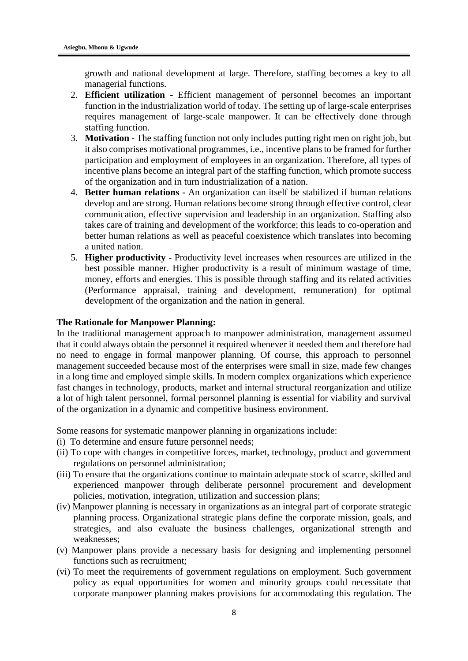growth and national development at large. Therefore, staffing becomes a key to all managerial functions.

- 2. **Efficient utilization -** Efficient management of personnel becomes an important function in the industrialization world of today. The setting up of large-scale enterprises requires management of large-scale manpower. It can be effectively done through staffing function.
- 3. **Motivation -** The staffing function not only includes putting right men on right job, but it also comprises motivational programmes, i.e., incentive plans to be framed for further participation and employment of employees in an organization. Therefore, all types of incentive plans become an integral part of the staffing function, which promote success of the organization and in turn industrialization of a nation.
- 4. **Better human relations -** An organization can itself be stabilized if human relations develop and are strong. Human relations become strong through effective control, clear communication, effective supervision and leadership in an organization. Staffing also takes care of training and development of the workforce; this leads to co-operation and better human relations as well as peaceful coexistence which translates into becoming a united nation.
- 5. **Higher productivity -** Productivity level increases when resources are utilized in the best possible manner. Higher productivity is a result of minimum wastage of time, money, efforts and energies. This is possible through staffing and its related activities (Performance appraisal, training and development, remuneration) for optimal development of the organization and the nation in general.

### **The Rationale for Manpower Planning:**

In the traditional management approach to manpower administration, management assumed that it could always obtain the personnel it required whenever it needed them and therefore had no need to engage in formal manpower planning. Of course, this approach to personnel management succeeded because most of the enterprises were small in size, made few changes in a long time and employed simple skills. In modern complex organizations which experience fast changes in technology, products, market and internal structural reorganization and utilize a lot of high talent personnel, formal personnel planning is essential for viability and survival of the organization in a dynamic and competitive business environment.

Some reasons for systematic manpower planning in organizations include:

- (i) To determine and ensure future personnel needs;
- (ii) To cope with changes in competitive forces, market, technology, product and government regulations on personnel administration;
- (iii) To ensure that the organizations continue to maintain adequate stock of scarce, skilled and experienced manpower through deliberate personnel procurement and development policies, motivation, integration, utilization and succession plans;
- (iv) Manpower planning is necessary in organizations as an integral part of corporate strategic planning process. Organizational strategic plans define the corporate mission, goals, and strategies, and also evaluate the business challenges, organizational strength and weaknesses;
- (v) Manpower plans provide a necessary basis for designing and implementing personnel functions such as recruitment;
- (vi) To meet the requirements of government regulations on employment. Such government policy as equal opportunities for women and minority groups could necessitate that corporate manpower planning makes provisions for accommodating this regulation. The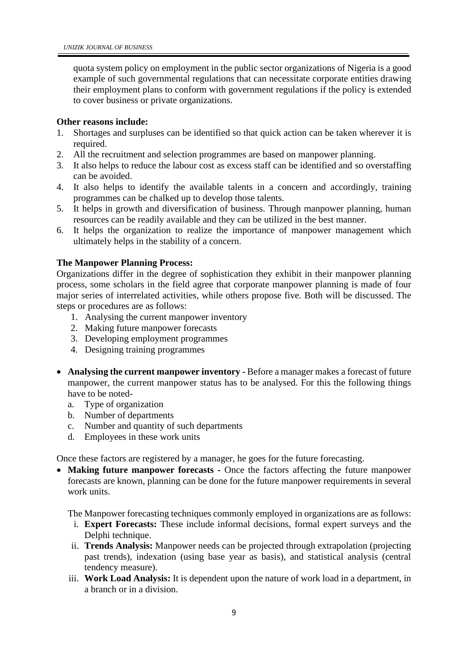quota system policy on employment in the public sector organizations of Nigeria is a good example of such governmental regulations that can necessitate corporate entities drawing their employment plans to conform with government regulations if the policy is extended to cover business or private organizations.

# **Other reasons include:**

- 1. Shortages and surpluses can be identified so that quick action can be taken wherever it is required.
- 2. All the recruitment and selection programmes are based on manpower planning.
- 3. It also helps to reduce the labour cost as excess staff can be identified and so overstaffing can be avoided.
- 4. It also helps to identify the available talents in a concern and accordingly, training programmes can be chalked up to develop those talents.
- 5. It helps in growth and diversification of business. Through manpower planning, human resources can be readily available and they can be utilized in the best manner.
- 6. It helps the organization to realize the importance of manpower management which ultimately helps in the stability of a concern.

# **The Manpower Planning Process:**

Organizations differ in the degree of sophistication they exhibit in their manpower planning process, some scholars in the field agree that corporate manpower planning is made of four major series of interrelated activities, while others propose five. Both will be discussed. The steps or procedures are as follows:

- 1. Analysing the current manpower inventory
- 2. Making future manpower forecasts
- 3. Developing employment programmes
- 4. Designing training programmes
- **Analysing the current manpower inventory -** Before a manager makes a forecast of future manpower, the current manpower status has to be analysed. For this the following things have to be noted
	- a. Type of organization
	- b. Number of departments
	- c. Number and quantity of such departments
	- d. Employees in these work units

Once these factors are registered by a manager, he goes for the future forecasting.

• **Making future manpower forecasts -** Once the factors affecting the future manpower forecasts are known, planning can be done for the future manpower requirements in several work units.

The Manpower forecasting techniques commonly employed in organizations are as follows:

- i. **Expert Forecasts:** These include informal decisions, formal expert surveys and the Delphi technique.
- ii. **Trends Analysis:** Manpower needs can be projected through extrapolation (projecting past trends), indexation (using base year as basis), and statistical analysis (central tendency measure).
- iii. **Work Load Analysis:** It is dependent upon the nature of work load in a department, in a branch or in a division.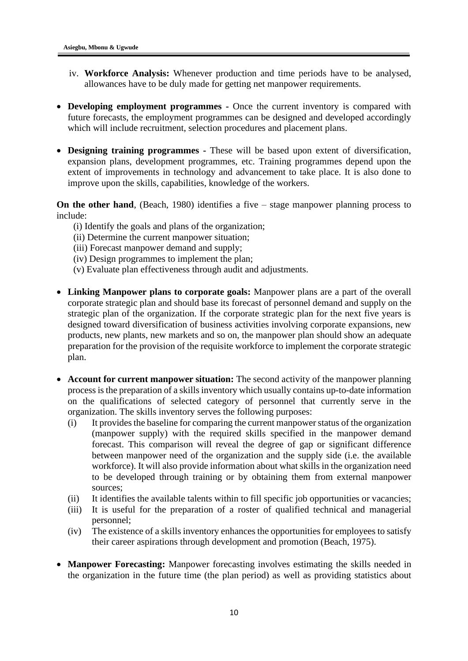- iv. **Workforce Analysis:** Whenever production and time periods have to be analysed, allowances have to be duly made for getting net manpower requirements.
- **Developing employment programmes -** Once the current inventory is compared with future forecasts, the employment programmes can be designed and developed accordingly which will include recruitment, selection procedures and placement plans.
- **Designing training programmes -** These will be based upon extent of diversification, expansion plans, development programmes, etc. Training programmes depend upon the extent of improvements in technology and advancement to take place. It is also done to improve upon the skills, capabilities, knowledge of the workers.

**On the other hand**, (Beach, 1980) identifies a five – stage manpower planning process to include:

- (i) Identify the goals and plans of the organization;
- (ii) Determine the current manpower situation;
- (iii) Forecast manpower demand and supply;
- (iv) Design programmes to implement the plan;
- (v) Evaluate plan effectiveness through audit and adjustments.
- **Linking Manpower plans to corporate goals:** Manpower plans are a part of the overall corporate strategic plan and should base its forecast of personnel demand and supply on the strategic plan of the organization. If the corporate strategic plan for the next five years is designed toward diversification of business activities involving corporate expansions, new products, new plants, new markets and so on, the manpower plan should show an adequate preparation for the provision of the requisite workforce to implement the corporate strategic plan.
- **Account for current manpower situation:** The second activity of the manpower planning process is the preparation of a skills inventory which usually contains up-to-date information on the qualifications of selected category of personnel that currently serve in the organization. The skills inventory serves the following purposes:
	- (i) It provides the baseline for comparing the current manpower status of the organization (manpower supply) with the required skills specified in the manpower demand forecast. This comparison will reveal the degree of gap or significant difference between manpower need of the organization and the supply side (i.e. the available workforce). It will also provide information about what skills in the organization need to be developed through training or by obtaining them from external manpower sources;
	- (ii) It identifies the available talents within to fill specific job opportunities or vacancies;
	- (iii) It is useful for the preparation of a roster of qualified technical and managerial personnel;
	- (iv) The existence of a skills inventory enhances the opportunities for employees to satisfy their career aspirations through development and promotion (Beach, 1975).
- **Manpower Forecasting:** Manpower forecasting involves estimating the skills needed in the organization in the future time (the plan period) as well as providing statistics about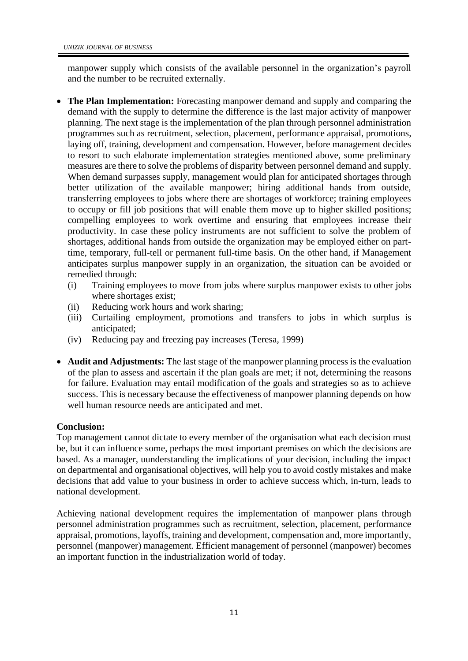manpower supply which consists of the available personnel in the organization's payroll and the number to be recruited externally.

- **The Plan Implementation:** Forecasting manpower demand and supply and comparing the demand with the supply to determine the difference is the last major activity of manpower planning. The next stage is the implementation of the plan through personnel administration programmes such as recruitment, selection, placement, performance appraisal, promotions, laying off, training, development and compensation. However, before management decides to resort to such elaborate implementation strategies mentioned above, some preliminary measures are there to solve the problems of disparity between personnel demand and supply. When demand surpasses supply, management would plan for anticipated shortages through better utilization of the available manpower; hiring additional hands from outside, transferring employees to jobs where there are shortages of workforce; training employees to occupy or fill job positions that will enable them move up to higher skilled positions; compelling employees to work overtime and ensuring that employees increase their productivity. In case these policy instruments are not sufficient to solve the problem of shortages, additional hands from outside the organization may be employed either on parttime, temporary, full-tell or permanent full-time basis. On the other hand, if Management anticipates surplus manpower supply in an organization, the situation can be avoided or remedied through:
	- (i) Training employees to move from jobs where surplus manpower exists to other jobs where shortages exist;
	- (ii) Reducing work hours and work sharing;
	- (iii) Curtailing employment, promotions and transfers to jobs in which surplus is anticipated;
	- (iv) Reducing pay and freezing pay increases (Teresa, 1999)
- **Audit and Adjustments:** The last stage of the manpower planning process is the evaluation of the plan to assess and ascertain if the plan goals are met; if not, determining the reasons for failure. Evaluation may entail modification of the goals and strategies so as to achieve success. This is necessary because the effectiveness of manpower planning depends on how well human resource needs are anticipated and met.

# **Conclusion:**

Top management cannot dictate to every member of the organisation what each decision must be, but it can influence some, perhaps the most important premises on which the decisions are based. As a manager, uunderstanding the implications of your decision, including the impact on departmental and organisational objectives, will help you to avoid costly mistakes and make decisions that add value to your business in order to achieve success which, in-turn, leads to national development.

Achieving national development requires the implementation of manpower plans through personnel administration programmes such as recruitment, selection, placement, performance appraisal, promotions, layoffs, training and development, compensation and, more importantly, personnel (manpower) management. Efficient management of personnel (manpower) becomes an important function in the industrialization world of today.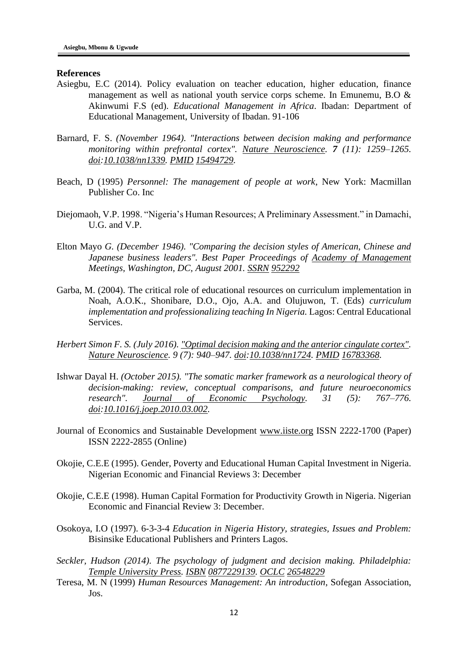#### **References**

- Asiegbu, E.C (2014). Policy evaluation on teacher education, higher education, finance management as well as national youth service corps scheme. In Emunemu, B.O & Akinwumi F.S (ed). *Educational Management in Africa*. Ibadan: Department of Educational Management, University of Ibadan. 91-106
- Barnard, F. S. *(November 1964). "Interactions between decision making and performance monitoring within prefrontal cortex". [Nature Neuroscience.](https://en.wikipedia.org/wiki/Nature_Neuroscience) 7 (11): 1259–1265. [doi:](https://en.wikipedia.org/wiki/Digital_object_identifier)[10.1038/nn1339.](https://doi.org/10.1038%2Fnn1339) [PMID](https://en.wikipedia.org/wiki/PubMed_Identifier) [15494729.](https://www.ncbi.nlm.nih.gov/pubmed/15494729)*
- Beach, D (1995) *Personnel: The management of people at work*, New York: Macmillan Publisher Co. Inc
- Diejomaoh, V.P. 1998. "Nigeria's Human Resources; A Preliminary Assessment." in Damachi, U.G. and V.P.
- Elton Mayo *G. (December 1946). "Comparing the decision styles of American, Chinese and Japanese business leaders". Best Paper Proceedings of [Academy of Management](https://en.wikipedia.org/wiki/Academy_of_Management) Meetings, Washington, DC, August 2001. [SSRN](https://en.wikipedia.org/wiki/Social_Science_Research_Network) [952292](https://ssrn.com/abstract=952292)*
- Garba, M. (2004). The critical role of educational resources on curriculum implementation in Noah, A.O.K., Shonibare, D.O., Ojo, A.A. and Olujuwon, T. (Eds) *curriculum implementation and professionalizing teaching In Nigeria.* Lagos: Central Educational Services.
- *Herbert Simon F. S. (July 2016). ["Optimal decision making and the anterior cingulate cortex".](http://www.nature.com/neuro/journal/v9/n7/abs/nn1724.html) [Nature Neuroscience.](https://en.wikipedia.org/wiki/Nature_Neuroscience) 9 (7): 940–947. [doi](https://en.wikipedia.org/wiki/Digital_object_identifier)[:10.1038/nn1724.](https://doi.org/10.1038%2Fnn1724) [PMID](https://en.wikipedia.org/wiki/PubMed_Identifier) [16783368.](https://www.ncbi.nlm.nih.gov/pubmed/16783368)*
- Ishwar Dayal H. *(October 2015). "The somatic marker framework as a neurological theory of decision-making: review, conceptual comparisons, and future neuroeconomics research". [Journal of Economic Psychology.](https://en.wikipedia.org/wiki/Journal_of_Economic_Psychology) 31 (5): 767–776. [doi:](https://en.wikipedia.org/wiki/Digital_object_identifier)[10.1016/j.joep.2010.03.002.](https://doi.org/10.1016%2Fj.joep.2010.03.002)*
- Journal of Economics and Sustainable Development [www.iiste.org](http://www.iiste.org/) ISSN 2222-1700 (Paper) ISSN 2222-2855 (Online)
- Okojie, C.E.E (1995). Gender, Poverty and Educational Human Capital Investment in Nigeria. Nigerian Economic and Financial Reviews 3: December
- Okojie, C.E.E (1998). Human Capital Formation for Productivity Growth in Nigeria. Nigerian Economic and Financial Review 3: December.
- Osokoya, I.O (1997). 6-3-3-4 *Education in Nigeria History, strategies, Issues and Problem:* Bisinsike Educational Publishers and Printers Lagos.
- *Seckler, Hudson (2014). The psychology of judgment and decision making. Philadelphia: [Temple University Press.](https://en.wikipedia.org/wiki/Temple_University_Press) [ISBN](https://en.wikipedia.org/wiki/International_Standard_Book_Number) [0877229139.](https://en.wikipedia.org/wiki/Special:BookSources/0877229139) [OCLC](https://en.wikipedia.org/wiki/OCLC) [26548229](https://www.worldcat.org/oclc/26548229)*
- Teresa, M. N (1999) *Human Resources Management: An introduction*, Sofegan Association, Jos.